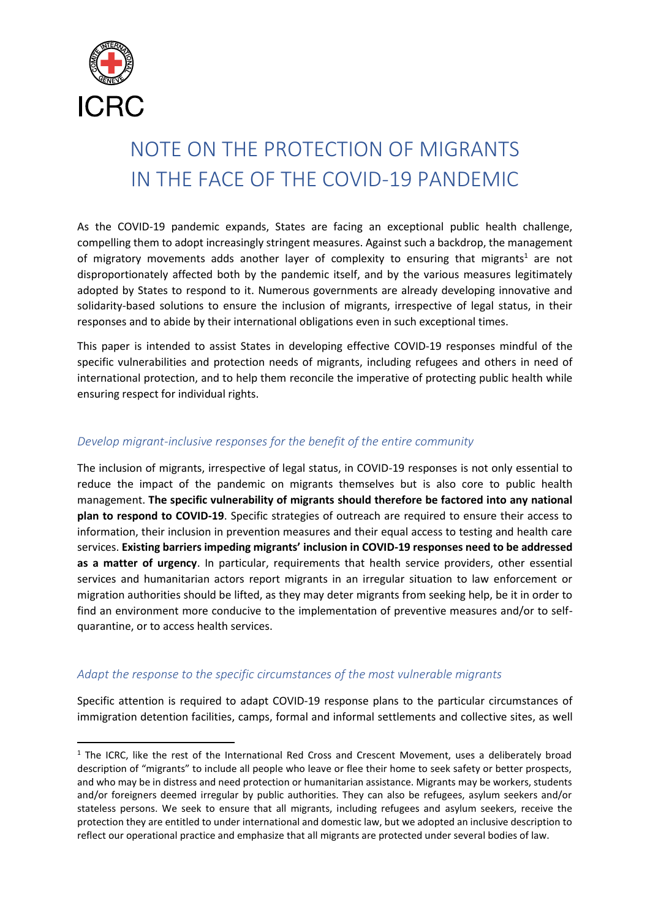

**.** 

# NOTE ON THE PROTECTION OF MIGRANTS IN THE FACE OF THE COVID-19 PANDEMIC

As the COVID-19 pandemic expands, States are facing an exceptional public health challenge, compelling them to adopt increasingly stringent measures. Against such a backdrop, the management of migratory movements adds another layer of complexity to ensuring that migrants<sup>1</sup> are not disproportionately affected both by the pandemic itself, and by the various measures legitimately adopted by States to respond to it. Numerous governments are already developing innovative and solidarity-based solutions to ensure the inclusion of migrants, irrespective of legal status, in their responses and to abide by their international obligations even in such exceptional times.

This paper is intended to assist States in developing effective COVID-19 responses mindful of the specific vulnerabilities and protection needs of migrants, including refugees and others in need of international protection, and to help them reconcile the imperative of protecting public health while ensuring respect for individual rights.

#### *Develop migrant-inclusive responses for the benefit of the entire community*

The inclusion of migrants, irrespective of legal status, in COVID-19 responses is not only essential to reduce the impact of the pandemic on migrants themselves but is also core to public health management. **The specific vulnerability of migrants should therefore be factored into any national plan to respond to COVID-19**. Specific strategies of outreach are required to ensure their access to information, their inclusion in prevention measures and their equal access to testing and health care services. **Existing barriers impeding migrants' inclusion in COVID-19 responses need to be addressed as a matter of urgency**. In particular, requirements that health service providers, other essential services and humanitarian actors report migrants in an irregular situation to law enforcement or migration authorities should be lifted, as they may deter migrants from seeking help, be it in order to find an environment more conducive to the implementation of preventive measures and/or to selfquarantine, or to access health services.

#### *Adapt the response to the specific circumstances of the most vulnerable migrants*

Specific attention is required to adapt COVID-19 response plans to the particular circumstances of immigration detention facilities, camps, formal and informal settlements and collective sites, as well

 $1$  The ICRC, like the rest of the International Red Cross and Crescent Movement, uses a deliberately broad description of "migrants" to include all people who leave or flee their home to seek safety or better prospects, and who may be in distress and need protection or humanitarian assistance. Migrants may be workers, students and/or foreigners deemed irregular by public authorities. They can also be refugees, asylum seekers and/or stateless persons. We seek to ensure that all migrants, including refugees and asylum seekers, receive the protection they are entitled to under international and domestic law, but we adopted an inclusive description to reflect our operational practice and emphasize that all migrants are protected under several bodies of law.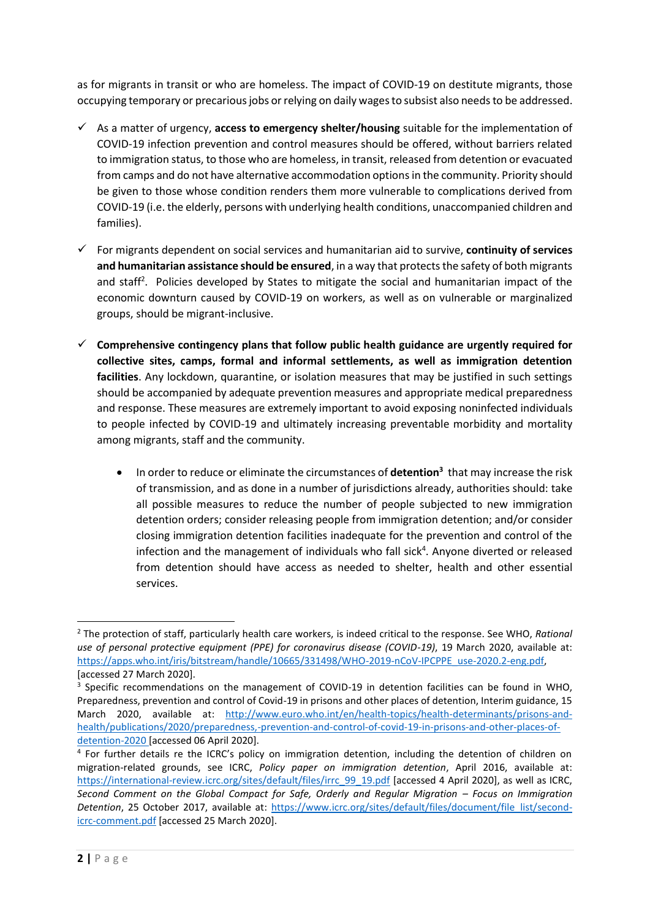as for migrants in transit or who are homeless. The impact of COVID-19 on destitute migrants, those occupying temporary or precarious jobs or relying on daily wages to subsist also needs to be addressed.

- ✓ As a matter of urgency, **access to emergency shelter/housing** suitable for the implementation of COVID-19 infection prevention and control measures should be offered, without barriers related to immigration status, to those who are homeless, in transit, released from detention or evacuated from camps and do not have alternative accommodation optionsin the community. Priority should be given to those whose condition renders them more vulnerable to complications derived from COVID-19 (i.e. the elderly, persons with underlying health conditions, unaccompanied children and families).
- ✓ For migrants dependent on social services and humanitarian aid to survive, **continuity of services**  and humanitarian assistance should be ensured, in a way that protects the safety of both migrants and staff<sup>2</sup>. Policies developed by States to mitigate the social and humanitarian impact of the economic downturn caused by COVID-19 on workers, as well as on vulnerable or marginalized groups, should be migrant-inclusive.
- ✓ **Comprehensive contingency plans that follow public health guidance are urgently required for collective sites, camps, formal and informal settlements, as well as immigration detention facilities**. Any lockdown, quarantine, or isolation measures that may be justified in such settings should be accompanied by adequate prevention measures and appropriate medical preparedness and response. These measures are extremely important to avoid exposing noninfected individuals to people infected by COVID-19 and ultimately increasing preventable morbidity and mortality among migrants, staff and the community.
	- In order to reduce or eliminate the circumstances of **detention<sup>3</sup>** that may increase the risk of transmission, and as done in a number of jurisdictions already, authorities should: take all possible measures to reduce the number of people subjected to new immigration detention orders; consider releasing people from immigration detention; and/or consider closing immigration detention facilities inadequate for the prevention and control of the infection and the management of individuals who fall sick<sup>4</sup>. Anyone diverted or released from detention should have access as needed to shelter, health and other essential services.

 $\overline{a}$ <sup>2</sup> The protection of staff, particularly health care workers, is indeed critical to the response. See WHO, *Rational use of personal protective equipment (PPE) for coronavirus disease (COVID-19)*, 19 March 2020, available at: [https://apps.who.int/iris/bitstream/handle/10665/331498/WHO-2019-nCoV-IPCPPE\\_use-2020.2-eng.pdf,](https://apps.who.int/iris/bitstream/handle/10665/331498/WHO-2019-nCoV-IPCPPE_use-2020.2-eng.pdf)  [accessed 27 March 2020].

<sup>&</sup>lt;sup>3</sup> Specific recommendations on the management of COVID-19 in detention facilities can be found in WHO, Preparedness, prevention and control of Covid-19 in prisons and other places of detention, Interim guidance, 15 March 2020, available at: [http://www.euro.who.int/en/health-topics/health-determinants/prisons-and](http://www.euro.who.int/en/health-topics/health-determinants/prisons-and-health/publications/2020/preparedness,-prevention-and-control-of-covid-19-in-prisons-and-other-places-of-detention-2020)[health/publications/2020/preparedness,-prevention-and-control-of-covid-19-in-prisons-and-other-places-of](http://www.euro.who.int/en/health-topics/health-determinants/prisons-and-health/publications/2020/preparedness,-prevention-and-control-of-covid-19-in-prisons-and-other-places-of-detention-2020)[detention-2020](http://www.euro.who.int/en/health-topics/health-determinants/prisons-and-health/publications/2020/preparedness,-prevention-and-control-of-covid-19-in-prisons-and-other-places-of-detention-2020) [accessed 06 April 2020].

<sup>&</sup>lt;sup>4</sup> For further details re the ICRC's policy on immigration detention, including the detention of children on migration-related grounds, see ICRC, *Policy paper on immigration detention*, April 2016, available at: [https://international-review.icrc.org/sites/default/files/irrc\\_99\\_19.pdf](https://international-review.icrc.org/sites/default/files/irrc_99_19.pdf) [accessed 4 April 2020], as well as ICRC, *Second Comment on the Global Compact for Safe, Orderly and Regular Migration – Focus on Immigration Detention*, 25 October 2017, available at: [https://www.icrc.org/sites/default/files/document/file\\_list/second](https://www.icrc.org/sites/default/files/document/file_list/second-icrc-comment.pdf)[icrc-comment.pdf](https://www.icrc.org/sites/default/files/document/file_list/second-icrc-comment.pdf) [accessed 25 March 2020].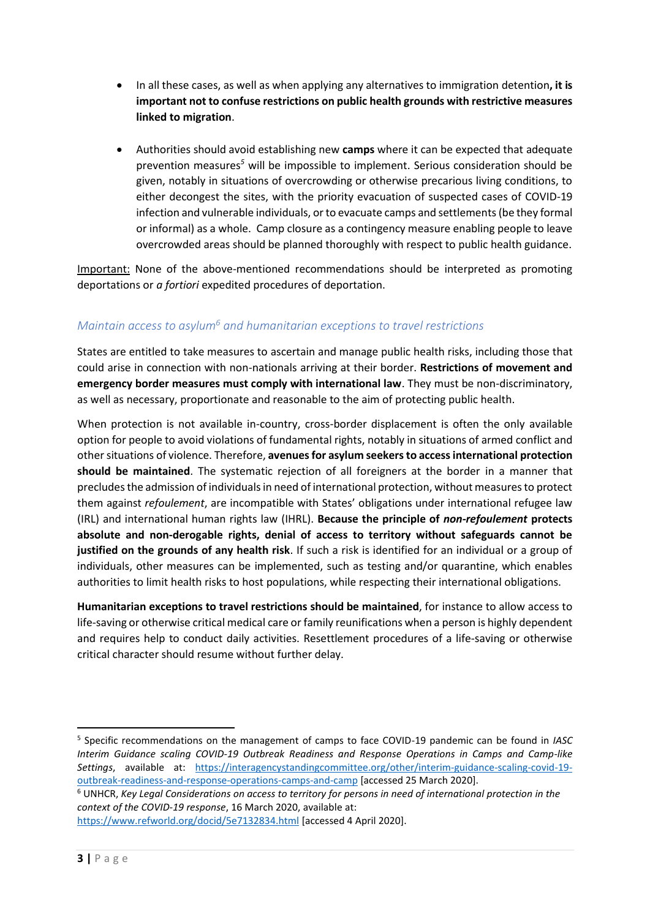- In all these cases, as well as when applying any alternatives to immigration detention**, it is important not to confuse restrictions on public health grounds with restrictive measures linked to migration**.
- Authorities should avoid establishing new **camps** where it can be expected that adequate prevention measures*<sup>5</sup>* will be impossible to implement. Serious consideration should be given, notably in situations of overcrowding or otherwise precarious living conditions, to either decongest the sites, with the priority evacuation of suspected cases of COVID-19 infection and vulnerable individuals, or to evacuate camps and settlements (be they formal or informal) as a whole. Camp closure as a contingency measure enabling people to leave overcrowded areas should be planned thoroughly with respect to public health guidance.

Important: None of the above-mentioned recommendations should be interpreted as promoting deportations or *a fortiori* expedited procedures of deportation.

### *Maintain access to asylum<sup>6</sup> and humanitarian exceptions to travel restrictions*

States are entitled to take measures to ascertain and manage public health risks, including those that could arise in connection with non-nationals arriving at their border. **Restrictions of movement and emergency border measures must comply with international law**. They must be non-discriminatory, as well as necessary, proportionate and reasonable to the aim of protecting public health.

When protection is not available in-country, cross-border displacement is often the only available option for people to avoid violations of fundamental rights, notably in situations of armed conflict and other situations of violence. Therefore, **avenues for asylum seekers to access international protection should be maintained**. The systematic rejection of all foreigners at the border in a manner that precludesthe admission of individuals in need of international protection, without measures to protect them against *refoulement*, are incompatible with States' obligations under international refugee law (IRL) and international human rights law (IHRL). **Because the principle of** *non-refoulement* **protects absolute and non-derogable rights, denial of access to territory without safeguards cannot be justified on the grounds of any health risk**. If such a risk is identified for an individual or a group of individuals, other measures can be implemented, such as testing and/or quarantine, which enables authorities to limit health risks to host populations, while respecting their international obligations.

**Humanitarian exceptions to travel restrictions should be maintained**, for instance to allow access to life-saving or otherwise critical medical care or family reunifications when a person is highly dependent and requires help to conduct daily activities. Resettlement procedures of a life-saving or otherwise critical character should resume without further delay.

**.** 

<sup>5</sup> Specific recommendations on the management of camps to face COVID-19 pandemic can be found in *IASC Interim Guidance scaling COVID-19 Outbreak Readiness and Response Operations in Camps and Camp-like Settings*, available at: [https://interagencystandingcommittee.org/other/interim-guidance-scaling-covid-19](https://interagencystandingcommittee.org/other/interim-guidance-scaling-covid-19-outbreak-readiness-and-response-operations-camps-and-camp) [outbreak-readiness-and-response-operations-camps-and-camp](https://interagencystandingcommittee.org/other/interim-guidance-scaling-covid-19-outbreak-readiness-and-response-operations-camps-and-camp) [accessed 25 March 2020].

<sup>6</sup> UNHCR, *Key Legal Considerations on access to territory for persons in need of international protection in the context of the COVID-19 response*, 16 March 2020, available at:

<https://www.refworld.org/docid/5e7132834.html> [accessed 4 April 2020].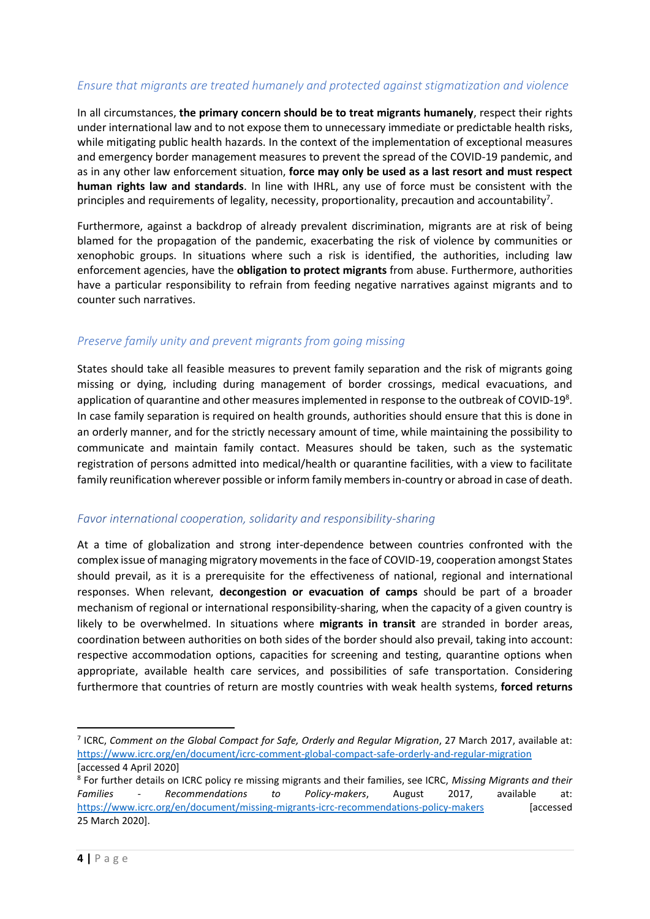#### *Ensure that migrants are treated humanely and protected against stigmatization and violence*

In all circumstances, **the primary concern should be to treat migrants humanely**, respect their rights under international law and to not expose them to unnecessary immediate or predictable health risks, while mitigating public health hazards. In the context of the implementation of exceptional measures and emergency border management measures to prevent the spread of the COVID-19 pandemic, and as in any other law enforcement situation, **force may only be used as a last resort and must respect human rights law and standards**. In line with IHRL, any use of force must be consistent with the principles and requirements of legality, necessity, proportionality, precaution and accountability<sup>7</sup>.

Furthermore, against a backdrop of already prevalent discrimination, migrants are at risk of being blamed for the propagation of the pandemic, exacerbating the risk of violence by communities or xenophobic groups. In situations where such a risk is identified, the authorities, including law enforcement agencies, have the **obligation to protect migrants** from abuse. Furthermore, authorities have a particular responsibility to refrain from feeding negative narratives against migrants and to counter such narratives.

#### *Preserve family unity and prevent migrants from going missing*

States should take all feasible measures to prevent family separation and the risk of migrants going missing or dying, including during management of border crossings, medical evacuations, and application of quarantine and other measures implemented in response to the outbreak of COVID-19 $8$ . In case family separation is required on health grounds, authorities should ensure that this is done in an orderly manner, and for the strictly necessary amount of time, while maintaining the possibility to communicate and maintain family contact. Measures should be taken, such as the systematic registration of persons admitted into medical/health or quarantine facilities, with a view to facilitate family reunification wherever possible or inform family members in-country or abroad in case of death.

#### *Favor international cooperation, solidarity and responsibility-sharing*

At a time of globalization and strong inter-dependence between countries confronted with the complex issue of managing migratory movements in the face of COVID-19, cooperation amongst States should prevail, as it is a prerequisite for the effectiveness of national, regional and international responses. When relevant, **decongestion or evacuation of camps** should be part of a broader mechanism of regional or international responsibility-sharing, when the capacity of a given country is likely to be overwhelmed. In situations where **migrants in transit** are stranded in border areas, coordination between authorities on both sides of the border should also prevail, taking into account: respective accommodation options, capacities for screening and testing, quarantine options when appropriate, available health care services, and possibilities of safe transportation. Considering furthermore that countries of return are mostly countries with weak health systems, **forced returns**

**.** 

<sup>&</sup>lt;sup>7</sup> ICRC, Comment on the Global Compact for Safe, Orderly and Regular Migration, 27 March 2017, available at: <https://www.icrc.org/en/document/icrc-comment-global-compact-safe-orderly-and-regular-migration> [accessed 4 April 2020]

<sup>8</sup> For further details on ICRC policy re missing migrants and their families, see ICRC, *Missing Migrants and their Families - Recommendations to Policy-makers*, August 2017, available at: <https://www.icrc.org/en/document/missing-migrants-icrc-recommendations-policy-makers> [accessed 25 March 2020].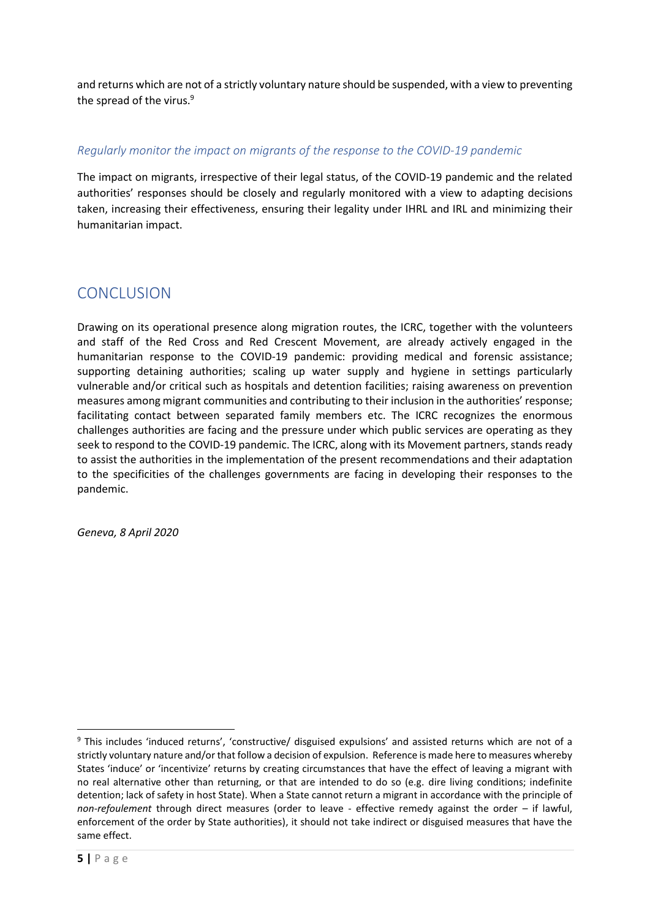and returns which are not of a strictly voluntary nature should be suspended, with a view to preventing the spread of the virus.<sup>9</sup>

#### *Regularly monitor the impact on migrants of the response to the COVID-19 pandemic*

The impact on migrants, irrespective of their legal status, of the COVID-19 pandemic and the related authorities' responses should be closely and regularly monitored with a view to adapting decisions taken, increasing their effectiveness, ensuring their legality under IHRL and IRL and minimizing their humanitarian impact.

## CONCLUSION

Drawing on its operational presence along migration routes, the ICRC, together with the volunteers and staff of the Red Cross and Red Crescent Movement, are already actively engaged in the humanitarian response to the COVID-19 pandemic: providing medical and forensic assistance; supporting detaining authorities; scaling up water supply and hygiene in settings particularly vulnerable and/or critical such as hospitals and detention facilities; raising awareness on prevention measures among migrant communities and contributing to their inclusion in the authorities' response; facilitating contact between separated family members etc. The ICRC recognizes the enormous challenges authorities are facing and the pressure under which public services are operating as they seek to respond to the COVID-19 pandemic. The ICRC, along with its Movement partners, stands ready to assist the authorities in the implementation of the present recommendations and their adaptation to the specificities of the challenges governments are facing in developing their responses to the pandemic.

*Geneva, 8 April 2020*

1

<sup>9</sup> This includes 'induced returns', 'constructive/ disguised expulsions' and assisted returns which are not of a strictly voluntary nature and/or that follow a decision of expulsion. Reference is made here to measures whereby States 'induce' or 'incentivize' returns by creating circumstances that have the effect of leaving a migrant with no real alternative other than returning, or that are intended to do so (e.g. dire living conditions; indefinite detention; lack of safety in host State). When a State cannot return a migrant in accordance with the principle of *non-refoulement* through direct measures (order to leave - effective remedy against the order – if lawful, enforcement of the order by State authorities), it should not take indirect or disguised measures that have the same effect.